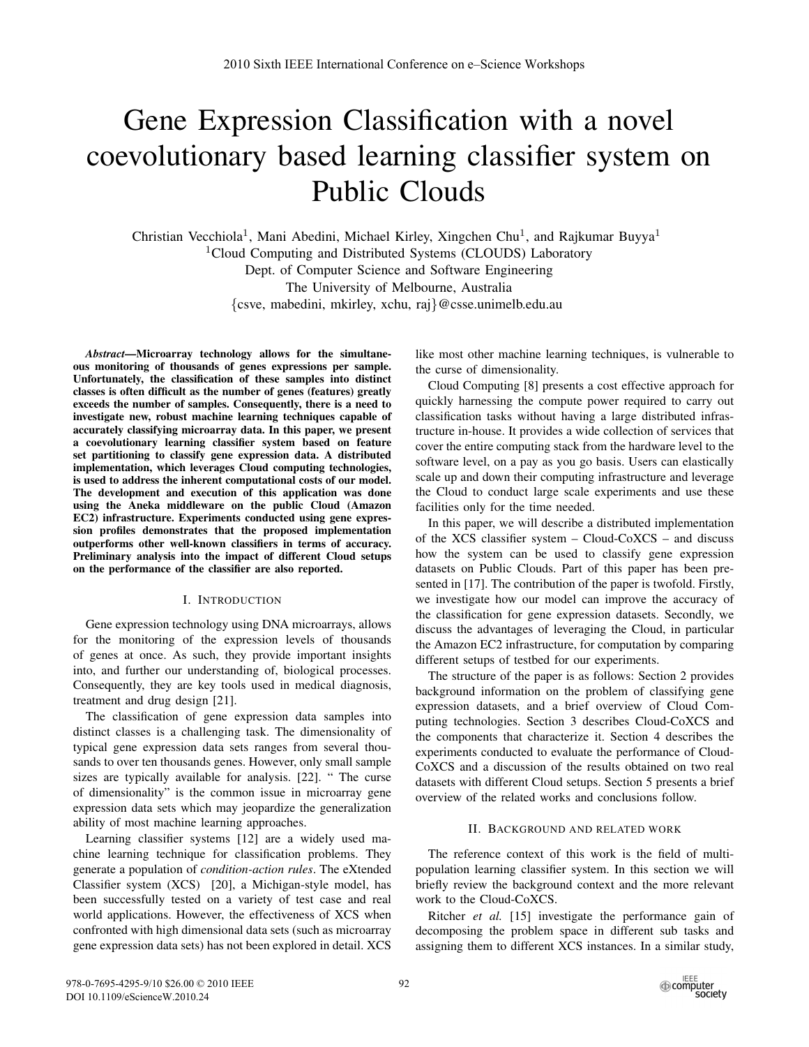# Gene Expression Classification with a novel coevolutionary based learning classifier system on Public Clouds

Christian Vecchiola<sup>1</sup>, Mani Abedini, Michael Kirley, Xingchen Chu<sup>1</sup>, and Rajkumar Buyya<sup>1</sup> <sup>1</sup>Cloud Computing and Distributed Systems (CLOUDS) Laboratory Dept. of Computer Science and Software Engineering The University of Melbourne, Australia *{*csve, mabedini, mkirley, xchu, raj*}*@csse.unimelb.edu.au

*Abstract*—Microarray technology allows for the simultaneous monitoring of thousands of genes expressions per sample. Unfortunately, the classification of these samples into distinct classes is often difficult as the number of genes (features) greatly exceeds the number of samples. Consequently, there is a need to investigate new, robust machine learning techniques capable of accurately classifying microarray data. In this paper, we present a coevolutionary learning classifier system based on feature set partitioning to classify gene expression data. A distributed implementation, which leverages Cloud computing technologies, is used to address the inherent computational costs of our model. The development and execution of this application was done using the Aneka middleware on the public Cloud (Amazon EC2) infrastructure. Experiments conducted using gene expression profiles demonstrates that the proposed implementation outperforms other well-known classifiers in terms of accuracy. Preliminary analysis into the impact of different Cloud setups on the performance of the classifier are also reported.

#### I. INTRODUCTION

Gene expression technology using DNA microarrays, allows for the monitoring of the expression levels of thousands of genes at once. As such, they provide important insights into, and further our understanding of, biological processes. Consequently, they are key tools used in medical diagnosis, treatment and drug design [21].

The classification of gene expression data samples into distinct classes is a challenging task. The dimensionality of typical gene expression data sets ranges from several thousands to over ten thousands genes. However, only small sample sizes are typically available for analysis. [22]. " The curse of dimensionality" is the common issue in microarray gene expression data sets which may jeopardize the generalization ability of most machine learning approaches.

Learning classifier systems [12] are a widely used machine learning technique for classification problems. They generate a population of *condition-action rules*. The eXtended Classifier system (XCS) [20], a Michigan-style model, has been successfully tested on a variety of test case and real world applications. However, the effectiveness of XCS when confronted with high dimensional data sets (such as microarray gene expression data sets) has not been explored in detail. XCS like most other machine learning techniques, is vulnerable to the curse of dimensionality.

Cloud Computing [8] presents a cost effective approach for quickly harnessing the compute power required to carry out classification tasks without having a large distributed infrastructure in-house. It provides a wide collection of services that cover the entire computing stack from the hardware level to the software level, on a pay as you go basis. Users can elastically scale up and down their computing infrastructure and leverage the Cloud to conduct large scale experiments and use these facilities only for the time needed.

In this paper, we will describe a distributed implementation of the XCS classifier system – Cloud-CoXCS – and discuss how the system can be used to classify gene expression datasets on Public Clouds. Part of this paper has been presented in [17]. The contribution of the paper is twofold. Firstly, we investigate how our model can improve the accuracy of the classification for gene expression datasets. Secondly, we discuss the advantages of leveraging the Cloud, in particular the Amazon EC2 infrastructure, for computation by comparing different setups of testbed for our experiments.

The structure of the paper is as follows: Section 2 provides background information on the problem of classifying gene expression datasets, and a brief overview of Cloud Computing technologies. Section 3 describes Cloud-CoXCS and the components that characterize it. Section 4 describes the experiments conducted to evaluate the performance of Cloud-CoXCS and a discussion of the results obtained on two real datasets with different Cloud setups. Section 5 presents a brief overview of the related works and conclusions follow.

## II. BACKGROUND AND RELATED WORK

The reference context of this work is the field of multipopulation learning classifier system. In this section we will briefly review the background context and the more relevant work to the Cloud-CoXCS.

Ritcher *et al.* [15] investigate the performance gain of decomposing the problem space in different sub tasks and assigning them to different XCS instances. In a similar study,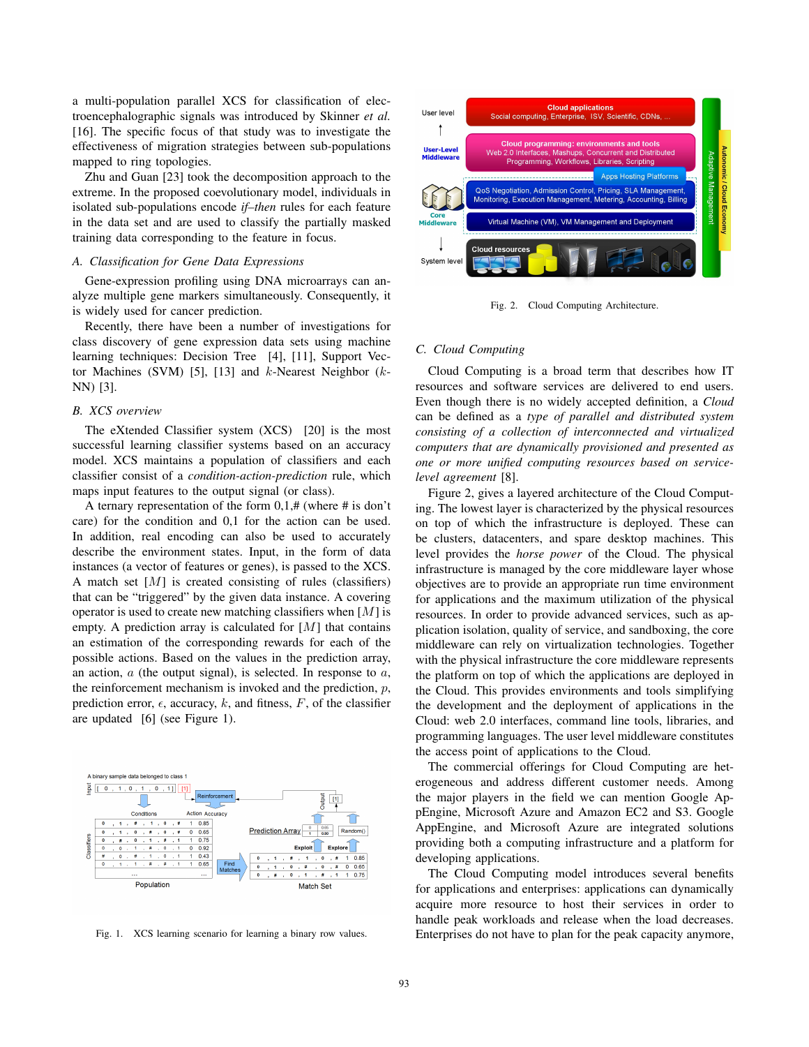a multi-population parallel XCS for classification of electroencephalographic signals was introduced by Skinner *et al.* [16]. The specific focus of that study was to investigate the effectiveness of migration strategies between sub-populations mapped to ring topologies.

Zhu and Guan [23] took the decomposition approach to the extreme. In the proposed coevolutionary model, individuals in isolated sub-populations encode *if–then* rules for each feature in the data set and are used to classify the partially masked training data corresponding to the feature in focus.

## *A. Classification for Gene Data Expressions*

Gene-expression profiling using DNA microarrays can analyze multiple gene markers simultaneously. Consequently, it is widely used for cancer prediction.

Recently, there have been a number of investigations for class discovery of gene expression data sets using machine learning techniques: Decision Tree [4], [11], Support Vector Machines (SVM) [5], [13] and *k*-Nearest Neighbor (*k*-NN) [3].

#### *B. XCS overview*

The eXtended Classifier system (XCS) [20] is the most successful learning classifier systems based on an accuracy model. XCS maintains a population of classifiers and each classifier consist of a *condition-action-prediction* rule, which maps input features to the output signal (or class).

A ternary representation of the form  $0,1,\#$  (where  $\#$  is don't care) for the condition and 0,1 for the action can be used. In addition, real encoding can also be used to accurately describe the environment states. Input, in the form of data instances (a vector of features or genes), is passed to the XCS. A match set [*M*] is created consisting of rules (classifiers) that can be "triggered" by the given data instance. A covering operator is used to create new matching classifiers when [*M*] is empty. A prediction array is calculated for [*M*] that contains an estimation of the corresponding rewards for each of the possible actions. Based on the values in the prediction array, an action, *a* (the output signal), is selected. In response to *a*, the reinforcement mechanism is invoked and the prediction, *p*, prediction error,  $\epsilon$ , accuracy,  $k$ , and fitness,  $F$ , of the classifier are updated [6] (see Figure 1).



Fig. 1. XCS learning scenario for learning a binary row values.



Fig. 2. Cloud Computing Architecture.

## *C. Cloud Computing*

Cloud Computing is a broad term that describes how IT resources and software services are delivered to end users. Even though there is no widely accepted definition, a *Cloud* can be defined as a *type of parallel and distributed system consisting of a collection of interconnected and virtualized computers that are dynamically provisioned and presented as one or more unified computing resources based on servicelevel agreement* [8].

Figure 2, gives a layered architecture of the Cloud Computing. The lowest layer is characterized by the physical resources on top of which the infrastructure is deployed. These can be clusters, datacenters, and spare desktop machines. This level provides the *horse power* of the Cloud. The physical infrastructure is managed by the core middleware layer whose objectives are to provide an appropriate run time environment for applications and the maximum utilization of the physical resources. In order to provide advanced services, such as application isolation, quality of service, and sandboxing, the core middleware can rely on virtualization technologies. Together with the physical infrastructure the core middleware represents the platform on top of which the applications are deployed in the Cloud. This provides environments and tools simplifying the development and the deployment of applications in the Cloud: web 2.0 interfaces, command line tools, libraries, and programming languages. The user level middleware constitutes the access point of applications to the Cloud.

The commercial offerings for Cloud Computing are heterogeneous and address different customer needs. Among the major players in the field we can mention Google AppEngine, Microsoft Azure and Amazon EC2 and S3. Google AppEngine, and Microsoft Azure are integrated solutions providing both a computing infrastructure and a platform for developing applications.

The Cloud Computing model introduces several benefits for applications and enterprises: applications can dynamically acquire more resource to host their services in order to handle peak workloads and release when the load decreases. Enterprises do not have to plan for the peak capacity anymore,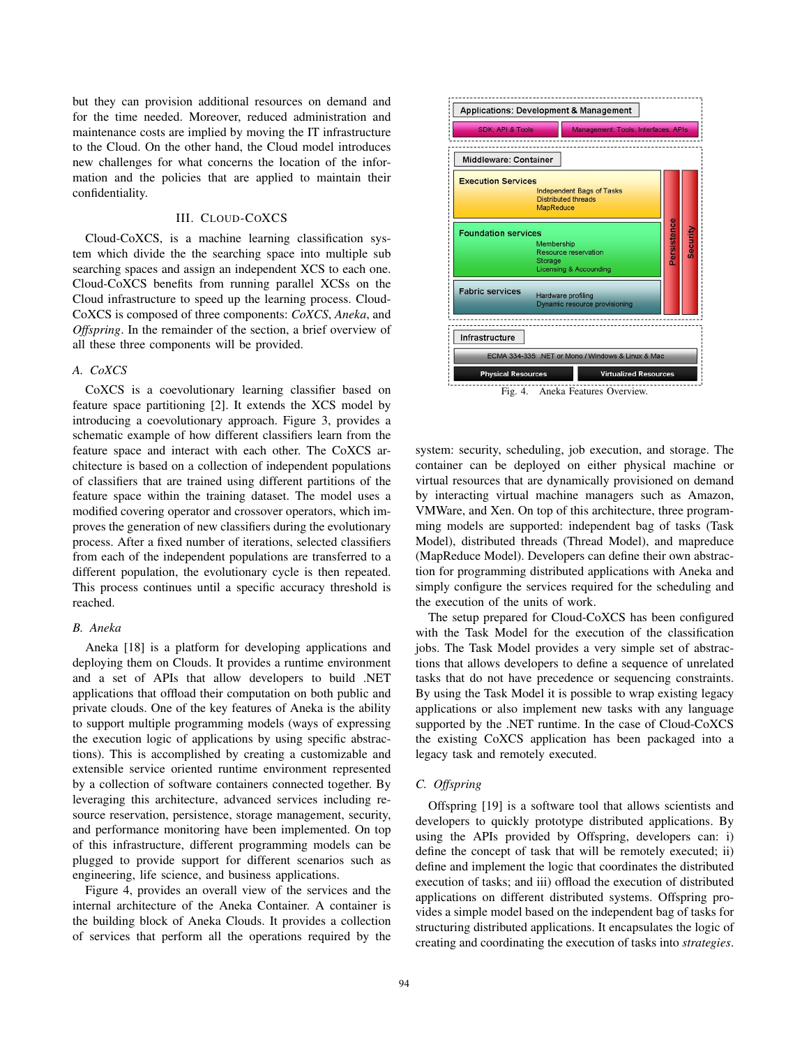but they can provision additional resources on demand and for the time needed. Moreover, reduced administration and maintenance costs are implied by moving the IT infrastructure to the Cloud. On the other hand, the Cloud model introduces new challenges for what concerns the location of the information and the policies that are applied to maintain their confidentiality.

# III. CLOUD-COXCS

Cloud-CoXCS, is a machine learning classification system which divide the the searching space into multiple sub searching spaces and assign an independent XCS to each one. Cloud-CoXCS benefits from running parallel XCSs on the Cloud infrastructure to speed up the learning process. Cloud-CoXCS is composed of three components: *CoXCS*, *Aneka*, and *Offspring*. In the remainder of the section, a brief overview of all these three components will be provided.

## *A. CoXCS*

CoXCS is a coevolutionary learning classifier based on feature space partitioning [2]. It extends the XCS model by introducing a coevolutionary approach. Figure 3, provides a schematic example of how different classifiers learn from the feature space and interact with each other. The CoXCS architecture is based on a collection of independent populations of classifiers that are trained using different partitions of the feature space within the training dataset. The model uses a modified covering operator and crossover operators, which improves the generation of new classifiers during the evolutionary process. After a fixed number of iterations, selected classifiers from each of the independent populations are transferred to a different population, the evolutionary cycle is then repeated. This process continues until a specific accuracy threshold is reached.

#### *B. Aneka*

Aneka [18] is a platform for developing applications and deploying them on Clouds. It provides a runtime environment and a set of APIs that allow developers to build .NET applications that offload their computation on both public and private clouds. One of the key features of Aneka is the ability to support multiple programming models (ways of expressing the execution logic of applications by using specific abstractions). This is accomplished by creating a customizable and extensible service oriented runtime environment represented by a collection of software containers connected together. By leveraging this architecture, advanced services including resource reservation, persistence, storage management, security, and performance monitoring have been implemented. On top of this infrastructure, different programming models can be plugged to provide support for different scenarios such as engineering, life science, and business applications.

Figure 4, provides an overall view of the services and the internal architecture of the Aneka Container. A container is the building block of Aneka Clouds. It provides a collection of services that perform all the operations required by the



system: security, scheduling, job execution, and storage. The container can be deployed on either physical machine or virtual resources that are dynamically provisioned on demand by interacting virtual machine managers such as Amazon, VMWare, and Xen. On top of this architecture, three programming models are supported: independent bag of tasks (Task Model), distributed threads (Thread Model), and mapreduce (MapReduce Model). Developers can define their own abstraction for programming distributed applications with Aneka and simply configure the services required for the scheduling and the execution of the units of work.

The setup prepared for Cloud-CoXCS has been configured with the Task Model for the execution of the classification jobs. The Task Model provides a very simple set of abstractions that allows developers to define a sequence of unrelated tasks that do not have precedence or sequencing constraints. By using the Task Model it is possible to wrap existing legacy applications or also implement new tasks with any language supported by the .NET runtime. In the case of Cloud-CoXCS the existing CoXCS application has been packaged into a legacy task and remotely executed.

#### *C. Offspring*

Offspring [19] is a software tool that allows scientists and developers to quickly prototype distributed applications. By using the APIs provided by Offspring, developers can: i) define the concept of task that will be remotely executed; ii) define and implement the logic that coordinates the distributed execution of tasks; and iii) offload the execution of distributed applications on different distributed systems. Offspring provides a simple model based on the independent bag of tasks for structuring distributed applications. It encapsulates the logic of creating and coordinating the execution of tasks into *strategies*.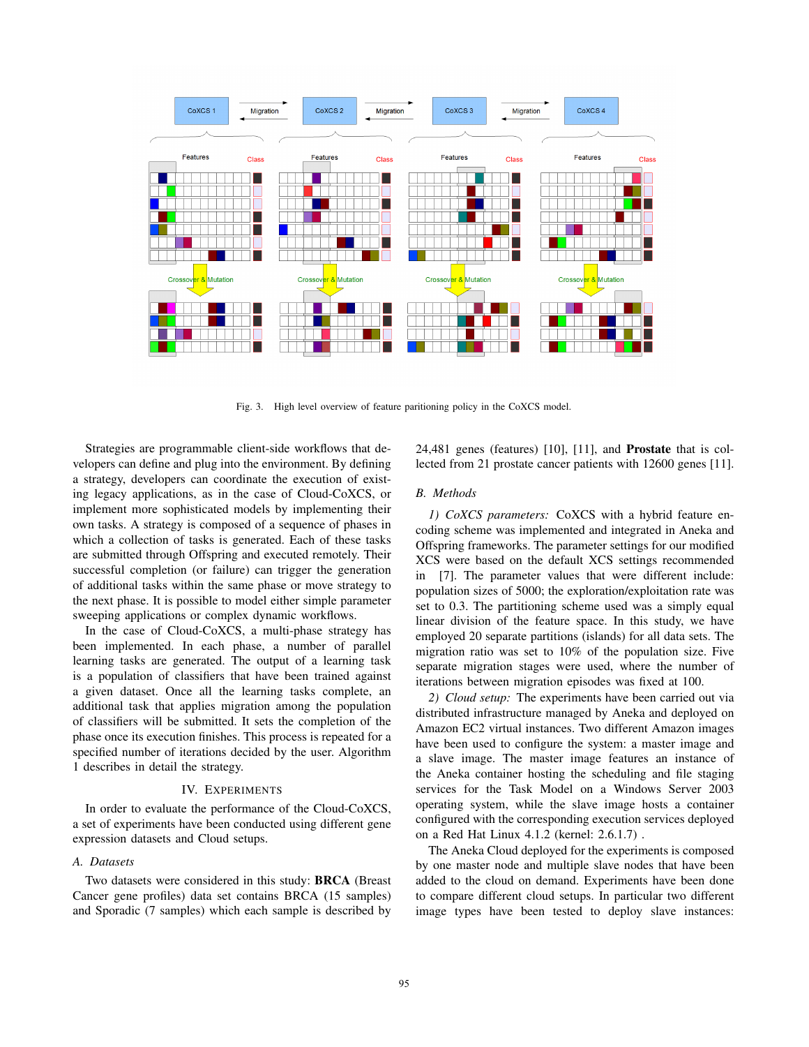

Fig. 3. High level overview of feature paritioning policy in the CoXCS model.

Strategies are programmable client-side workflows that developers can define and plug into the environment. By defining a strategy, developers can coordinate the execution of existing legacy applications, as in the case of Cloud-CoXCS, or implement more sophisticated models by implementing their own tasks. A strategy is composed of a sequence of phases in which a collection of tasks is generated. Each of these tasks are submitted through Offspring and executed remotely. Their successful completion (or failure) can trigger the generation of additional tasks within the same phase or move strategy to the next phase. It is possible to model either simple parameter sweeping applications or complex dynamic workflows.

In the case of Cloud-CoXCS, a multi-phase strategy has been implemented. In each phase, a number of parallel learning tasks are generated. The output of a learning task is a population of classifiers that have been trained against a given dataset. Once all the learning tasks complete, an additional task that applies migration among the population of classifiers will be submitted. It sets the completion of the phase once its execution finishes. This process is repeated for a specified number of iterations decided by the user. Algorithm 1 describes in detail the strategy.

#### IV. EXPERIMENTS

In order to evaluate the performance of the Cloud-CoXCS, a set of experiments have been conducted using different gene expression datasets and Cloud setups.

## *A. Datasets*

Two datasets were considered in this study: BRCA (Breast Cancer gene profiles) data set contains BRCA (15 samples) and Sporadic (7 samples) which each sample is described by

24,481 genes (features) [10], [11], and Prostate that is collected from 21 prostate cancer patients with 12600 genes [11].

## *B. Methods*

*1) CoXCS parameters:* CoXCS with a hybrid feature encoding scheme was implemented and integrated in Aneka and Offspring frameworks. The parameter settings for our modified XCS were based on the default XCS settings recommended [7]. The parameter values that were different include: population sizes of 5000; the exploration/exploitation rate was set to 0.3. The partitioning scheme used was a simply equal linear division of the feature space. In this study, we have employed 20 separate partitions (islands) for all data sets. The migration ratio was set to 10% of the population size. Five separate migration stages were used, where the number of iterations between migration episodes was fixed at 100.

*2) Cloud setup:* The experiments have been carried out via distributed infrastructure managed by Aneka and deployed on Amazon EC2 virtual instances. Two different Amazon images have been used to configure the system: a master image and a slave image. The master image features an instance of the Aneka container hosting the scheduling and file staging services for the Task Model on a Windows Server 2003 operating system, while the slave image hosts a container configured with the corresponding execution services deployed on a Red Hat Linux 4.1.2 (kernel: 2.6.1.7) .

The Aneka Cloud deployed for the experiments is composed by one master node and multiple slave nodes that have been added to the cloud on demand. Experiments have been done to compare different cloud setups. In particular two different image types have been tested to deploy slave instances: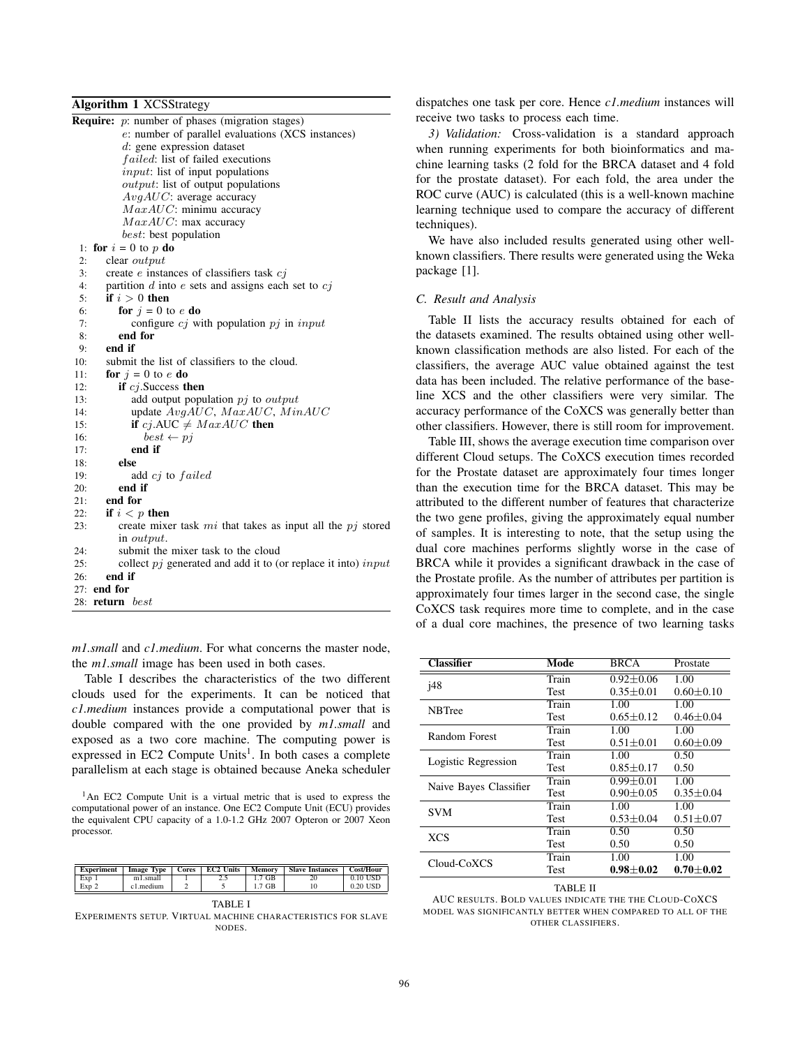## Algorithm 1 XCSStrategy

| <b>Require:</b> $p$ : number of phases (migration stages)                        |  |
|----------------------------------------------------------------------------------|--|
| e: number of parallel evaluations (XCS instances)                                |  |
| d: gene expression dataset                                                       |  |
| <i>failed</i> : list of failed executions                                        |  |
| <i>input</i> : list of input populations                                         |  |
| <i>output</i> : list of output populations                                       |  |
| $AvgAUC$ : average accuracy                                                      |  |
| $MaxAUC$ : minimu accuracy                                                       |  |
| $MaxAUC$ : max accuracy                                                          |  |
| <i>best:</i> best population                                                     |  |
| 1: for $i = 0$ to p do                                                           |  |
| 2:<br>clear <i>output</i>                                                        |  |
| 3:<br>create $e$ instances of classifiers task $cj$                              |  |
| partition $d$ into $e$ sets and assigns each set to $cj$<br>4:                   |  |
| if $i > 0$ then<br>5:                                                            |  |
| for $j = 0$ to e do<br>6:                                                        |  |
| 7:<br>configure $c_j$ with population $pj$ in input                              |  |
| end for<br>8:                                                                    |  |
| end if<br>9:                                                                     |  |
| submit the list of classifiers to the cloud.<br>10:                              |  |
| for $j = 0$ to e do<br>11:                                                       |  |
| if $cj$ . Success then<br>12:                                                    |  |
| 13:<br>add output population $pj$ to <i>output</i>                               |  |
| update $AvgAUC$ , $MaxAUC$ , $MinAUC$<br>14:                                     |  |
| if cj.AUC $\neq MaxAUC$ then<br>15:                                              |  |
| 16:<br>$best \leftarrow pi$                                                      |  |
| end if<br>17:                                                                    |  |
| 18:<br>else                                                                      |  |
| 19:<br>add cj to failed                                                          |  |
| end if<br>20:                                                                    |  |
| end for<br>21:                                                                   |  |
| 22:<br>if $i < p$ then                                                           |  |
| create mixer task $mi$ that takes as input all the $pj$ stored<br>23:            |  |
| in <i>output</i> .                                                               |  |
| submit the mixer task to the cloud<br>24:                                        |  |
| collect $pj$ generated and add it to (or replace it into) input<br>25:<br>end if |  |
| 26:                                                                              |  |
| 27: end for                                                                      |  |
| 28:<br><b>return</b> best                                                        |  |

*m1.small* and *c1.medium*. For what concerns the master node, the *m1.small* image has been used in both cases.

Table I describes the characteristics of the two different clouds used for the experiments. It can be noticed that *c1.medium* instances provide a computational power that is double compared with the one provided by *m1.small* and exposed as a two core machine. The computing power is expressed in EC2 Compute Units<sup>1</sup>. In both cases a complete parallelism at each stage is obtained because Aneka scheduler

<sup>1</sup>An EC2 Compute Unit is a virtual metric that is used to express the computational power of an instance. One EC2 Compute Unit (ECU) provides the equivalent CPU capacity of a 1.0-1.2 GHz 2007 Opteron or 2007 Xeon processor.

| 0.10 USD<br>Exp 1<br>1.7 GB<br>m1.small<br>20<br>ر<br>Exp 2<br>0.20 USD<br>c1.medium<br>1.7 GB | <b>Experiment</b> | <b>Image Type</b> | Cores | <b>EC2 Units</b> | Memory | <b>Slave Instances</b> | Cost/Hour |
|------------------------------------------------------------------------------------------------|-------------------|-------------------|-------|------------------|--------|------------------------|-----------|
|                                                                                                |                   |                   |       |                  |        |                        |           |
|                                                                                                |                   |                   |       |                  |        |                        |           |

TABLE I

EXPERIMENTS SETUP. VIRTUAL MACHINE CHARACTERISTICS FOR SLAVE **NODES** 

dispatches one task per core. Hence *c1.medium* instances will receive two tasks to process each time.

*3) Validation:* Cross-validation is a standard approach when running experiments for both bioinformatics and machine learning tasks (2 fold for the BRCA dataset and 4 fold for the prostate dataset). For each fold, the area under the ROC curve (AUC) is calculated (this is a well-known machine learning technique used to compare the accuracy of different techniques).

We have also included results generated using other wellknown classifiers. There results were generated using the Weka package [1].

### *C. Result and Analysis*

Table II lists the accuracy results obtained for each of the datasets examined. The results obtained using other wellknown classification methods are also listed. For each of the classifiers, the average AUC value obtained against the test data has been included. The relative performance of the baseline XCS and the other classifiers were very similar. The accuracy performance of the CoXCS was generally better than other classifiers. However, there is still room for improvement.

Table III, shows the average execution time comparison over different Cloud setups. The CoXCS execution times recorded for the Prostate dataset are approximately four times longer than the execution time for the BRCA dataset. This may be attributed to the different number of features that characterize the two gene profiles, giving the approximately equal number of samples. It is interesting to note, that the setup using the dual core machines performs slightly worse in the case of BRCA while it provides a significant drawback in the case of the Prostate profile. As the number of attributes per partition is approximately four times larger in the second case, the single CoXCS task requires more time to complete, and in the case of a dual core machines, the presence of two learning tasks

| <b>Classifier</b>      | Mode        | <b>BRCA</b>     | Prostate        |  |
|------------------------|-------------|-----------------|-----------------|--|
| <i>i</i> 48            | Train       | $0.92 \pm 0.06$ | 1.00            |  |
|                        | <b>Test</b> | $0.35 \pm 0.01$ | $0.60 \pm 0.10$ |  |
| <b>NBTree</b>          | Train       | 1.00            | 1.00            |  |
|                        | <b>Test</b> | $0.65 \pm 0.12$ | $0.46 \pm 0.04$ |  |
| Random Forest          | Train       | 1.00            | 1.00            |  |
|                        | <b>Test</b> | $0.51 \pm 0.01$ | $0.60 \pm 0.09$ |  |
| Logistic Regression    | Train       | 1.00            | 0.50            |  |
|                        | <b>Test</b> | $0.85 + 0.17$   | 0.50            |  |
| Naive Bayes Classifier | Train       | $0.99 + 0.01$   | 1.00            |  |
|                        | <b>Test</b> | $0.90 + 0.05$   | $0.35 \pm 0.04$ |  |
| <b>SVM</b>             | Train       | 1.00            | 1.00            |  |
|                        | <b>Test</b> | $0.53 \pm 0.04$ | $0.51 \pm 0.07$ |  |
| <b>XCS</b>             | Train       | 0.50            | 0.50            |  |
|                        | <b>Test</b> | 0.50            | 0.50            |  |
| Cloud-CoXCS            | Train       | 1.00            | 1.00            |  |
|                        | Test        | $0.98 \pm 0.02$ | $0.70 \pm 0.02$ |  |
|                        |             |                 |                 |  |

TABLE II

AUC RESULTS. BOLD VALUES INDICATE THE THE CLOUD-COXCS MODEL WAS SIGNIFICANTLY BETTER WHEN COMPARED TO ALL OF THE OTHER CLASSIFIERS.